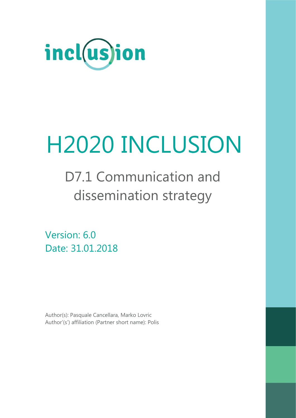

# H2020 INCLUSION

D7.1 Communication and dissemination strategy

Version: 6.0 Date: 31.01.2018

Author(s): Pasquale Cancellara, Marko Lovric Author'(s') affiliation (Partner short name): Polis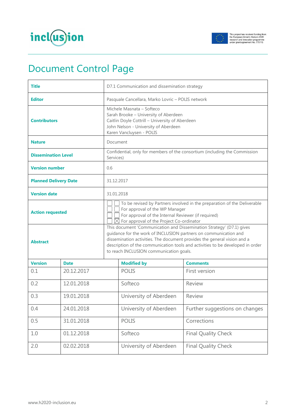



# Document Control Page

| <b>Title</b>                 |             | D7.1 Communication and dissemination strategy                                                                                                                                                                                                                                                                                                      |                        |                                                                            |
|------------------------------|-------------|----------------------------------------------------------------------------------------------------------------------------------------------------------------------------------------------------------------------------------------------------------------------------------------------------------------------------------------------------|------------------------|----------------------------------------------------------------------------|
| <b>Editor</b>                |             | Pasquale Cancellara, Marko Lovric - POLIS network                                                                                                                                                                                                                                                                                                  |                        |                                                                            |
| <b>Contributors</b>          |             | Michele Masnata - Softeco<br>Sarah Brooke - University of Aberdeen<br>Caitlin Doyle Cottrill - University of Aberdeen<br>John Nelson - University of Aberdeen<br>Karen Vancluysen - POLIS                                                                                                                                                          |                        |                                                                            |
| <b>Nature</b>                |             | Document                                                                                                                                                                                                                                                                                                                                           |                        |                                                                            |
| <b>Dissemination Level</b>   |             | Services)                                                                                                                                                                                                                                                                                                                                          |                        | Confidential, only for members of the consortium (including the Commission |
| <b>Version number</b>        |             | 0.6                                                                                                                                                                                                                                                                                                                                                |                        |                                                                            |
| <b>Planned Delivery Date</b> |             | 31.12.2017                                                                                                                                                                                                                                                                                                                                         |                        |                                                                            |
| <b>Version date</b>          |             | 31.01.2018                                                                                                                                                                                                                                                                                                                                         |                        |                                                                            |
| <b>Action requested</b>      |             | To be revised by Partners involved in the preparation of the Deliverable<br>For approval of the WP Manager<br>For approval of the Internal Reviewer (if required)<br>$\boxtimes$ For approval of the Project Co-ordinator                                                                                                                          |                        |                                                                            |
| <b>Abstract</b>              |             | This document 'Communication and Dissemination Strategy' (D7.1) gives<br>guidance for the work of INCLUSION partners on communication and<br>dissemination activities. The document provides the general vision and a<br>description of the communication tools and activities to be developed in order<br>to reach INCLUSION communication goals. |                        |                                                                            |
| <b>Version</b>               | <b>Date</b> |                                                                                                                                                                                                                                                                                                                                                    | <b>Modified by</b>     | <b>Comments</b>                                                            |
| 0.1                          | 20.12.2017  |                                                                                                                                                                                                                                                                                                                                                    | <b>POLIS</b>           | First version                                                              |
| 0.2                          | 12.01.2018  |                                                                                                                                                                                                                                                                                                                                                    | Softeco                | Review                                                                     |
| 0.3<br>19.01.2018            |             |                                                                                                                                                                                                                                                                                                                                                    | University of Aberdeen | Review                                                                     |
| 0.4                          | 24.01.2018  |                                                                                                                                                                                                                                                                                                                                                    | University of Aberdeen | Further suggestions on changes                                             |
| 0.5                          | 31.01.2018  |                                                                                                                                                                                                                                                                                                                                                    | <b>POLIS</b>           | Corrections                                                                |
| 1.0                          | 01.12.2018  |                                                                                                                                                                                                                                                                                                                                                    | Softeco                | <b>Final Quality Check</b>                                                 |
| 2.0                          | 02.02.2018  |                                                                                                                                                                                                                                                                                                                                                    | University of Aberdeen | Final Quality Check                                                        |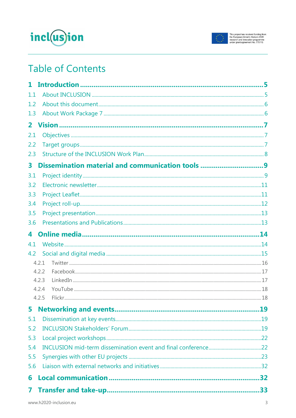



# **Table of Contents**

| 1.1            |                                                  |  |
|----------------|--------------------------------------------------|--|
| 1.2            |                                                  |  |
| 1.3            |                                                  |  |
| 2 <sup>1</sup> |                                                  |  |
| 2.1            |                                                  |  |
| 2.2            |                                                  |  |
| 2.3            |                                                  |  |
| 3              | Dissemination material and communication tools 9 |  |
| 3.1            |                                                  |  |
| 3.2            |                                                  |  |
| 3.3            |                                                  |  |
| 3.4            |                                                  |  |
| 3.5            |                                                  |  |
| 3.6            |                                                  |  |
| 4              |                                                  |  |
| 4.1            |                                                  |  |
| 4.2            |                                                  |  |
|                | 4.2.1                                            |  |
|                | 4.2.2                                            |  |
|                | 4.2.3                                            |  |
|                | 4.2.4<br>4.2.5                                   |  |
|                |                                                  |  |
| 5              |                                                  |  |
| 5.1            |                                                  |  |
| 5.2            |                                                  |  |
| 5.3            |                                                  |  |
| 5.4            |                                                  |  |
| 5.5            |                                                  |  |
| 5.6            |                                                  |  |
| 6              |                                                  |  |
| 7              |                                                  |  |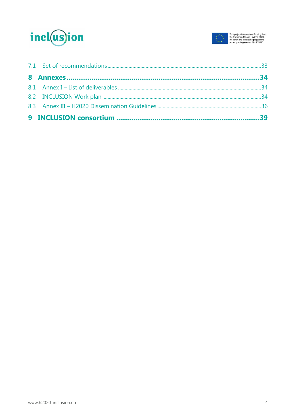

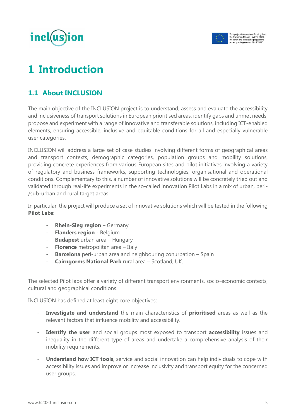



# <span id="page-4-0"></span>**1 Introduction**

# <span id="page-4-1"></span>**1.1 About INCLUSION**

The main objective of the INCLUSION project is to understand, assess and evaluate the accessibility and inclusiveness of transport solutions in European prioritised areas, identify gaps and unmet needs, propose and experiment with a range of innovative and transferable solutions, including ICT-enabled elements, ensuring accessible, inclusive and equitable conditions for all and especially vulnerable user categories.

INCLUSION will address a large set of case studies involving different forms of geographical areas and transport contexts, demographic categories, population groups and mobility solutions, providing concrete experiences from various European sites and pilot initiatives involving a variety of regulatory and business frameworks, supporting technologies, organisational and operational conditions. Complementary to this, a number of innovative solutions will be concretely tried out and validated through real-life experiments in the so-called innovation Pilot Labs in a mix of urban, peri- /sub-urban and rural target areas.

In particular, the project will produce a set of innovative solutions which will be tested in the following **Pilot Labs**:

- **Rhein-Sieg region** Germany
- **Flanders region** Belgium
- **Budapest** urban area Hungary
- **Florence** metropolitan area Italy
- **Barcelona** peri-urban area and neighbouring conurbation Spain
- **Cairngorms National Park** rural area Scotland, UK.

The selected Pilot labs offer a variety of different transport environments, socio-economic contexts, cultural and geographical conditions.

INCLUSION has defined at least eight core objectives:

- Investigate and understand the main characteristics of prioritised areas as well as the relevant factors that influence mobility and accessibility.
- **Identify the user** and social groups most exposed to transport **accessibility** issues and inequality in the different type of areas and undertake a comprehensive analysis of their mobility requirements.
- **Understand how ICT tools**, service and social innovation can help individuals to cope with accessibility issues and improve or increase inclusivity and transport equity for the concerned user groups.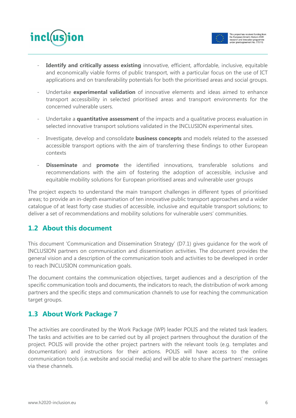



- **Identify and critically assess existing** innovative, efficient, affordable, inclusive, equitable and economically viable forms of public transport, with a particular focus on the use of ICT applications and on transferability potentials for both the prioritised areas and social groups.
- Undertake **experimental validation** of innovative elements and ideas aimed to enhance transport accessibility in selected prioritised areas and transport environments for the concerned vulnerable users.
- Undertake a **quantitative assessment** of the impacts and a qualitative process evaluation in selected innovative transport solutions validated in the INCLUSION experimental sites.
- Investigate, develop and consolidate **business concepts** and models related to the assessed accessible transport options with the aim of transferring these findings to other European contexts
- **Disseminate** and **promote** the identified innovations, transferable solutions and recommendations with the aim of fostering the adoption of accessible, inclusive and equitable mobility solutions for European prioritised areas and vulnerable user groups

The project expects to understand the main transport challenges in different types of prioritised areas; to provide an in-depth examination of ten innovative public transport approaches and a wider catalogue of at least forty case studies of accessible, inclusive and equitable transport solutions; to deliver a set of recommendations and mobility solutions for vulnerable users' communities.

# <span id="page-5-0"></span>**1.2 About this document**

This document 'Communication and Dissemination Strategy' (D7.1) gives guidance for the work of INCLUSION partners on communication and dissemination activities. The document provides the general vision and a description of the communication tools and activities to be developed in order to reach INCLUSION communication goals.

The document contains the communication objectives, target audiences and a description of the specific communication tools and documents, the indicators to reach, the distribution of work among partners and the specific steps and communication channels to use for reaching the communication target groups.

# <span id="page-5-1"></span>**1.3 About Work Package 7**

The activities are coordinated by the Work Package (WP) leader POLIS and the related task leaders. The tasks and activities are to be carried out by all project partners throughout the duration of the project. POLIS will provide the other project partners with the relevant tools (e.g. templates and documentation) and instructions for their actions. POLIS will have access to the online communication tools (i.e. website and social media) and will be able to share the partners' messages via these channels.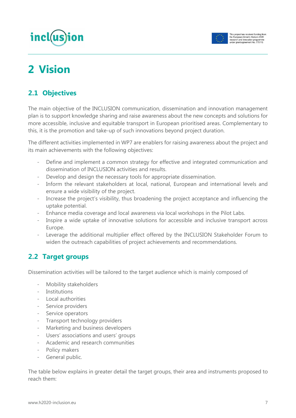# incl(us)ion



# <span id="page-6-0"></span>**2 Vision**

# <span id="page-6-1"></span>**2.1 Objectives**

The main objective of the INCLUSION communication, dissemination and innovation management plan is to support knowledge sharing and raise awareness about the new concepts and solutions for more accessible, inclusive and equitable transport in European prioritised areas. Complementary to this, it is the promotion and take-up of such innovations beyond project duration.

The different activities implemented in WP7 are enablers for raising awareness about the project and its main achievements with the following objectives:

- Define and implement a common strategy for effective and integrated communication and dissemination of INCLUSION activities and results.
- Develop and design the necessary tools for appropriate dissemination.
- Inform the relevant stakeholders at local, national, European and international levels and ensure a wide visibility of the project.
- Increase the project's visibility, thus broadening the project acceptance and influencing the uptake potential.
- Enhance media coverage and local awareness via local workshops in the Pilot Labs.
- Inspire a wide uptake of innovative solutions for accessible and inclusive transport across Europe.
- Leverage the additional multiplier effect offered by the INCLUSION Stakeholder Forum to widen the outreach capabilities of project achievements and recommendations.

# <span id="page-6-2"></span>**2.2 Target groups**

Dissemination activities will be tailored to the target audience which is mainly composed of

- Mobility stakeholders
- **Institutions**
- Local authorities
- Service providers
- Service operators
- Transport technology providers
- Marketing and business developers
- Users' associations and users' groups
- Academic and research communities
- Policy makers
- General public.

The table below explains in greater detail the target groups, their area and instruments proposed to reach them: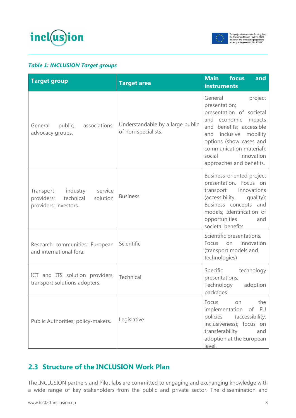



#### *Table 1: INCLUSION Target groups*

| <b>Target group</b>                                                                              | <b>Target area</b>                                      | <b>Main</b> focus<br>and<br><b>instruments</b>                                                                                                                                                                                                                 |
|--------------------------------------------------------------------------------------------------|---------------------------------------------------------|----------------------------------------------------------------------------------------------------------------------------------------------------------------------------------------------------------------------------------------------------------------|
| associations,<br>General<br>public,<br>advocacy groups.                                          | Understandable by a large public<br>of non-specialists. | General<br>project<br>presentation;<br>presentation of societal<br>and economic impacts<br>and benefits; accessible<br>inclusive<br>mobility<br>and<br>options (show cases and<br>communication material);<br>innovation<br>social<br>approaches and benefits. |
| Transport<br>industry<br>service<br>providers;<br>technical<br>solution<br>providers; investors. | <b>Business</b>                                         | Business-oriented project<br>presentation. Focus on<br>transport<br>innovations<br>(accessibility,<br>quality);<br>Business concepts and<br>models; Identification of<br>opportunities<br>and<br>societal benefits.                                            |
| Research communities; European<br>and international fora.                                        | Scientific                                              | Scientific presentations.<br>innovation<br>on<br>Focus<br>(transport models and<br>technologies)                                                                                                                                                               |
| ICT and ITS solution providers,<br>transport solutions adopters.                                 | Technical                                               | technology<br>Specific<br>presentations;<br>Technology<br>adoption<br>packages.                                                                                                                                                                                |
| Public Authorities; policy-makers.                                                               | Legislative                                             | the<br>Focus<br>on<br>implementation<br>EU<br>of<br>policies<br>(accessibility,<br>inclusiveness); focus on<br>transferability<br>and<br>adoption at the European<br>level.                                                                                    |

# <span id="page-7-0"></span>**2.3 Structure of the INCLUSION Work Plan**

The INCLUSION partners and Pilot labs are committed to engaging and exchanging knowledge with a wide range of key stakeholders from the public and private sector. The dissemination and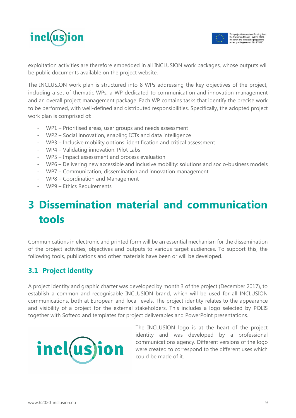



exploitation activities are therefore embedded in all INCLUSION work packages, whose outputs will be public documents available on the project website.

The INCLUSION work plan is structured into 8 WPs addressing the key objectives of the project, including a set of thematic WPs, a WP dedicated to communication and innovation management and an overall project management package. Each WP contains tasks that identify the precise work to be performed, with well-defined and distributed responsibilities. Specifically, the adopted project work plan is comprised of:

- WP1 Prioritised areas, user groups and needs assessment
- WP2 Social innovation, enabling ICTs and data intelligence
- WP3 Inclusive mobility options: identification and critical assessment
- WP4 Validating innovation: Pilot Labs
- WP5 Impact assessment and process evaluation
- WP6 Delivering new accessible and inclusive mobility: solutions and socio-business models
- WP7 Communication, dissemination and innovation management
- WP8 Coordination and Management
- WP9 Ethics Requirements

# <span id="page-8-0"></span>**3 Dissemination material and communication tools**

Communications in electronic and printed form will be an essential mechanism for the dissemination of the project activities, objectives and outputs to various target audiences. To support this, the following tools, publications and other materials have been or will be developed.

# <span id="page-8-1"></span>**3.1 Project identity**

A project identity and graphic charter was developed by month 3 of the project (December 2017), to establish a common and recognisable INCLUSION brand, which will be used for all INCLUSION communications, both at European and local levels. The project identity relates to the appearance and visibility of a project for the external stakeholders. This includes a logo selected by POLIS together with Softeco and templates for project deliverables and PowerPoint presentations.



The INCLUSION logo is at the heart of the project identity and was developed by a professional communications agency. Different versions of the logo were created to correspond to the different uses which could be made of it.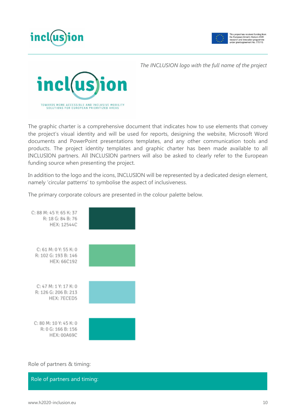



*The INCLUSION logo with the full name of the project*



The graphic charter is a comprehensive document that indicates how to use elements that convey the project's visual identity and will be used for reports, designing the website, Microsoft Word documents and PowerPoint presentations templates, and any other communication tools and products. The project identity templates and graphic charter has been made available to all INCLUSION partners. All INCLUSION partners will also be asked to clearly refer to the European funding source when presenting the project.

In addition to the logo and the icons, INCLUSION will be represented by a dedicated design element, namely 'circular patterns' to symbolise the aspect of inclusiveness.

The primary corporate colours are presented in the colour palette below.



Role of partners & timing:

Role of partners and timing: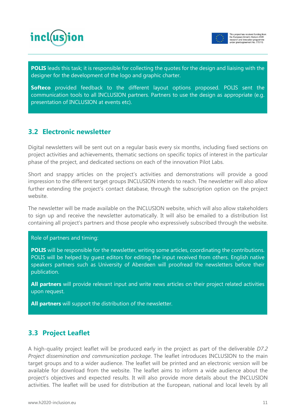



**POLIS** leads this task; it is responsible for collecting the quotes for the design and liaising with the designer for the development of the logo and graphic charter.

**Softeco** provided feedback to the different layout options proposed. POLIS sent the communication tools to all INCLUSION partners. Partners to use the design as appropriate (e.g. presentation of INCLUSION at events etc).

### <span id="page-10-0"></span>**3.2 Electronic newsletter**

Digital newsletters will be sent out on a regular basis every six months, including fixed sections on project activities and achievements, thematic sections on specific topics of interest in the particular phase of the project, and dedicated sections on each of the innovation Pilot Labs.

Short and snappy articles on the project's activities and demonstrations will provide a good impression to the different target groups INCLUSION intends to reach. The newsletter will also allow further extending the project's contact database, through the subscription option on the project website.

The newsletter will be made available on the INCLUSION website, which will also allow stakeholders to sign up and receive the newsletter automatically. It will also be emailed to a distribution list containing all project's partners and those people who expressively subscribed through the website.

#### Role of partners and timing:

**POLIS** will be responsible for the newsletter, writing some articles, coordinating the contributions. POLIS will be helped by guest editors for editing the input received from others. English native speakers partners such as University of Aberdeen will proofread the newsletters before their publication.

**All partners** will provide relevant input and write news articles on their project related activities upon request.

**All partners** will support the distribution of the newsletter.

### <span id="page-10-1"></span>**3.3 Project Leaflet**

A high-quality project leaflet will be produced early in the project as part of the deliverable *D7.2 Project dissemination and communication package*. The leaflet introduces INCLUSION to the main target groups and to a wider audience. The leaflet will be printed and an electronic version will be available for download from the website. The leaflet aims to inform a wide audience about the project's objectives and expected results. It will also provide more details about the INCLUSION activities. The leaflet will be used for distribution at the European, national and local levels by all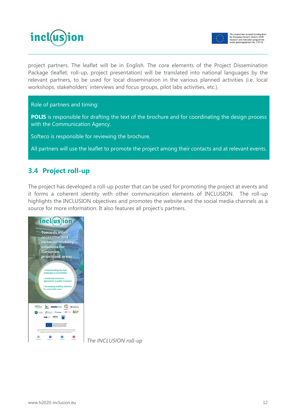



project partners. The leaflet will be in English. The core elements of the Project Dissemination Package (leaflet, roll-up, project presentation) will be translated into national languages by the relevant partners, to be used for local dissemination in the various planned activities (i.e. local workshops, stakeholders' interviews and focus groups, pilot labs activities, etc.).

Role of partners and timing:

**POLIS** is responsible for drafting the text of the brochure and for coordinating the design process with the Communication Agency.

Softeco is responsible for reviewing the brochure.

All partners will use the leaflet to promote the project among their contacts and at relevant events.

# <span id="page-11-0"></span>**3.4 Project roll-up**

The project has developed a roll-up poster that can be used for promoting the project at events and it forms a coherent identity with other communication elements of INCLUSION. The roll-up highlights the INCLUSION objectives and promotes the website and the social media channels as a source for more information. It also features all project's partners.



*The INCLUSION roll-up*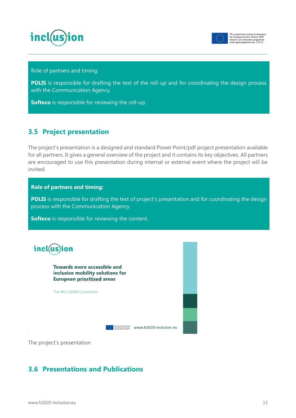



Role of partners and timing:

**POLIS** is responsible for drafting the text of the roll-up and for coordinating the design process with the Communication Agency.

**Softeco** is responsible for reviewing the roll-up.

### <span id="page-12-0"></span>**3.5 Project presentation**

The project's presentation is a designed and standard Power Point/pdf project presentation available for all partners. It gives a general overview of the project and it contains its key objectives. All partners are encouraged to use this presentation during internal or external event where the project will be invited.

#### **Role of partners and timing:**

**POLIS** is responsible for drafting the text of project's presentation and for coordinating the design process with the Communication Agency.

**Softeco** is responsible for reviewing the content.



**Towards more accessible and** inclusive mobility solutions for **European prioritised areas** 

The INCLUSION Consortium

 $\frac{1}{\frac{1}{\frac{1}{2}}}\frac{ \frac{1}{\frac{1}{2}}\frac{1}{\frac{1}{2}}\frac{1}{\frac{1}{2}}\frac{1}{\frac{1}{2}}\frac{1}{\frac{1}{2}}\frac{1}{\frac{1}{2}}\frac{1}{\frac{1}{2}}\frac{1}{\frac{1}{2}}\frac{1}{\frac{1}{2}}\frac{1}{\frac{1}{2}}\frac{1}{\frac{1}{2}}\frac{1}{\frac{1}{2}}\frac{1}{\frac{1}{2}}\frac{1}{\frac{1}{2}}\frac{1}{\frac{1}{2}}\frac{1}{\frac{1}{2}}\frac{1}{\frac{$ 

The project's presentation

### <span id="page-12-1"></span>**3.6 Presentations and Publications**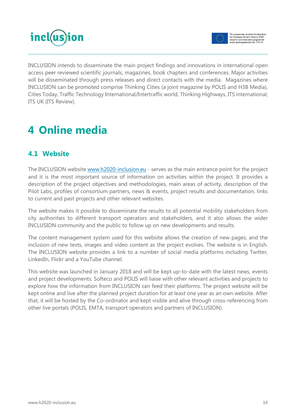



INCLUSION intends to disseminate the main project findings and innovations in international open access peer reviewed scientific journals, magazines, book chapters and conferences. Major activities will be disseminated through press releases and direct contacts with the media. Magazines where INCLUSION can be promoted comprise Thinking Cities (a joint magazine by POLIS and H3B Media), Cities Today, Traffic Technology International/Intertraffic world, Thinking Highways, ITS international, ITS UK (ITS Review).

# <span id="page-13-0"></span>**4 Online media**

# <span id="page-13-1"></span>**4.1 Website**

The INCLUSION website [www.h2020-inclusion.eu](http://www.h2020-inclusion.eu/) - serves as the main entrance point for the project and it is the most important source of information on activities within the project. It provides a description of the project objectives and methodologies, main areas of activity, description of the Pilot Labs, profiles of consortium partners, news & events, project results and documentation, links to current and past projects and other relevant websites.

The website makes it possible to disseminate the results to all potential mobility stakeholders from city authorities to different transport operators and stakeholders, and it also allows the wider INCLUSION community and the public to follow up on new developments and results.

The content management system used for this website allows the creation of new pages, and the inclusion of new texts, images and video content as the project evolves. The website is in English. The INCLUSION website provides a link to a number of social media platforms including Twitter, LinkedIn, Flickr and a YouTube channel.

This website was launched in January 2018 and will be kept up-to-date with the latest news, events and project developments. Softeco and POLIS will liaise with other relevant activities and projects to explore how the information from INCLUSION can feed their platforms. The project website will be kept online and live after the planned project duration for at least one year as an own website. After that, it will be hosted by the Co-ordinator and kept visible and alive through cross-referencing from other live portals (POLIS, EMTA, transport operators and partners of INCLUSION).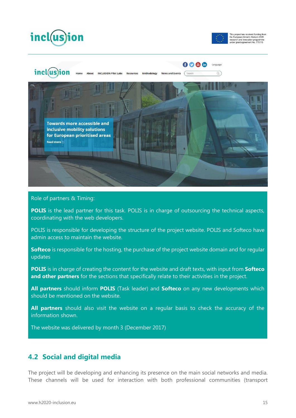





#### Role of partners & Timing:

**POLIS** is the lead partner for this task. POLIS is in charge of outsourcing the technical aspects, coordinating with the web developers.

POLIS is responsible for developing the structure of the project website. POLIS and Softeco have admin access to maintain the website.

**Softeco** is responsible for the hosting, the purchase of the project website domain and for regular updates

**POLIS** is in charge of creating the content for the website and draft texts, with input from **Softeco and other partners** for the sections that specifically relate to their activities in the project.

**All partners** should inform **POLIS** (Task leader) and **Softeco** on any new developments which should be mentioned on the website.

**All partners** should also visit the website on a regular basis to check the accuracy of the information shown.

The website was delivered by month 3 (December 2017)

### <span id="page-14-0"></span>**4.2 Social and digital media**

The project will be developing and enhancing its presence on the main social networks and media. These channels will be used for interaction with both professional communities (transport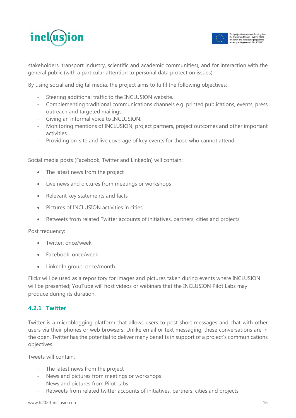



stakeholders, transport industry, scientific and academic communities), and for interaction with the general public (with a particular attention to personal data protection issues).

By using social and digital media, the project aims to fulfil the following objectives:

- Steering additional traffic to the INCLUSION website.
- Complementing traditional communications channels e.g. printed publications, events, press outreach and targeted mailings.
- Giving an informal voice to INCLUSION.
- Monitoring mentions of INCLUSION, project partners, project outcomes and other important activities.
- Providing on-site and live coverage of key events for those who cannot attend.

Social media posts (Facebook, Twitter and LinkedIn) will contain:

- The latest news from the project
- Live news and pictures from meetings or workshops
- Relevant key statements and facts
- Pictures of INCLUSION activities in cities
- Retweets from related Twitter accounts of initiatives, partners, cities and projects

#### Post frequency:

- Twitter: once/week.
- Facebook: once/week
- LinkedIn group: once/month.

Flickr will be used as a repository for images and pictures taken during events where INCLUSION will be presented; YouTube will host videos or webinars that the INCLUSION Pilot Labs may produce during its duration.

#### <span id="page-15-0"></span>**4.2.1 Twitter**

Twitter is a microblogging platform that allows users to post short messages and chat with other users via their phones or web browsers. Unlike email or text messaging, these conversations are in the open. Twitter has the potential to deliver many benefits in support of a project's communications objectives.

Tweets will contain:

- The latest news from the project
- News and pictures from meetings or workshops
- News and pictures from Pilot Labs
- Retweets from related twitter accounts of initiatives, partners, cities and projects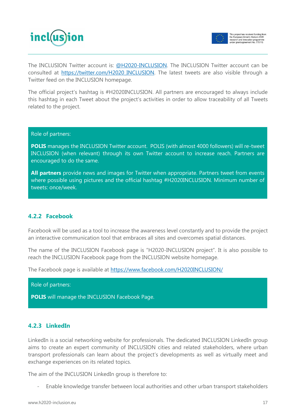



The INCLUSION Twitter account is: [@H](https://twitter.com/BuyZETproject)2020-INCLUSION. The INCLUSION Twitter account can be consulted at https://twitter.com/H2020 INCLUSION. The latest tweets are also visible through a Twitter feed on the INCLUSION homepage.

The official project's hashtag is #H2020INCLUSION. All partners are encouraged to always include this hashtag in each Tweet about the project's activities in order to allow traceability of all Tweets related to the project.

Role of partners:

**POLIS** manages the INCLUSION Twitter account. POLIS (with almost 4000 followers) will re-tweet INCLUSION (when relevant) through its own Twitter account to increase reach. Partners are encouraged to do the same.

**All partners** provide news and images for Twitter when appropriate. Partners tweet from events where possible using pictures and the official hashtag #H2020INCLUSION. Minimum number of tweets: once/week.

#### <span id="page-16-0"></span>**4.2.2 Facebook**

Facebook will be used as a tool to increase the awareness level constantly and to provide the project an interactive communication tool that embraces all sites and overcomes spatial distances.

The name of the INCLUSION Facebook page is "H2020-INCLUSION project". It is also possible to reach the INCLUSION Facebook page from the INCLUSION website homepage.

The Facebook page is available at<https://www.facebook.com/H2020INCLUSION/>



**POLIS** will manage the INCLUSION Facebook Page.

#### <span id="page-16-1"></span>**4.2.3 LinkedIn**

LinkedIn is a social networking website for professionals. The dedicated INCLUSION LinkedIn group aims to create an expert community of INCLUSION cities and related stakeholders, where urban transport professionals can learn about the project's developments as well as virtually meet and exchange experiences on its related topics.

The aim of the INCLUSION LinkedIn group is therefore to:

- Enable knowledge transfer between local authorities and other urban transport stakeholders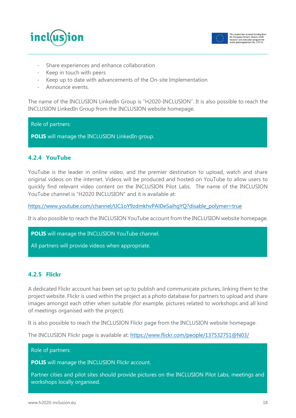



- Share experiences and enhance collaboration
- Keep in touch with peers
- Keep up to date with advancements of the On-site Implementation
- Announce events

The name of the INCLUSION LinkedIn Group is "H2020-INCLUSION". It is also possible to reach the INCLUSION LinkedIn Group from the INCLUSION website homepage.

#### Role of partners:

**POLIS** will manage the INCLUSION LinkedIn group.

#### <span id="page-17-0"></span>**4.2.4 YouTube**

YouTube is the leader in online video, and the premier destination to upload, watch and share original videos on the internet. Videos will be produced and hosted on YouTube to allow users to quickly find relevant video content on the INCLUSION Pilot Labs. The name of the INCLUSION YouTube channel is "H2020 INCLUSION" and it is available at:

[https://www.youtube.com/channel/UC1oY9zdmkhvPAlDeSaihgYQ?disable\\_polymer=true](https://www.youtube.com/channel/UC1oY9zdmkhvPAlDeSaihgYQ?disable_polymer=true)

It is also possible to reach the INCLUSION YouTube account from the INCLUSION website homepage.

**POLIS** will manage the INCLUSION YouTube channel.

All partners will provide videos when appropriate.

#### <span id="page-17-1"></span>**4.2.5 Flickr**

A dedicated Flickr account has been set up to publish and communicate pictures, linking them to the project website. Flickr is used within the project as a photo database for partners to upload and share images amongst each other when suitable (for example, pictures related to workshops and all kind of meetings organised with the project).

It is also possible to reach the INCLUSION Flickr page from the INCLUSION website homepage.

The INCLUSION Flickr page is available at:<https://www.flickr.com/people/137532751@N03/>

#### Role of partners:

**POLIS** will manage the INCLUSION Flickr account.

Partner cities and pilot sites should provide pictures on the INCLUSION Pilot Labs, meetings and workshops locally organised.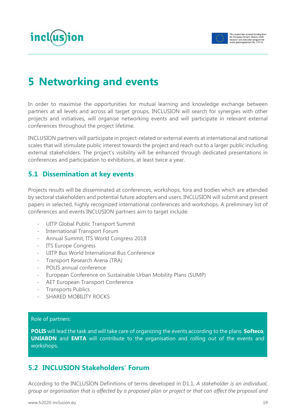



# <span id="page-18-0"></span>**5 Networking and events**

In order to maximise the opportunities for mutual learning and knowledge exchange between partners at all levels and across all target groups, INCLUSION will search for synergies with other projects and initiatives, will organise networking events and will participate in relevant external conferences throughout the project lifetime.

INCLUSION partners will participate in project-related or external events at international and national scales that will stimulate public interest towards the project and reach out to a larger public including external stakeholders. The project's visibility will be enhanced through dedicated presentations in conferences and participation to exhibitions, at least twice a year.

# <span id="page-18-1"></span>**5.1 Dissemination at key events**

Projects results will be disseminated at conferences, workshops, fora and bodies which are attended by sectoral stakeholders and potential future adopters and users. INCLUSION will submit and present papers in selected, highly recognized international conferences and workshops. A preliminary list of conferences and events INCLUSION partners aim to target include:

- UITP Global Public Transport Summit
- International Transport Forum
- Annual Summit, ITS World Congress 2018
- ITS Europe Congress
- UITP Bus World International Bus Conference
- Transport Research Arena (TRA)
- POLIS annual conference
- European Conference on Sustainable Urban Mobility Plans (SUMP)
- AET European Transport Conference
- Transports Publics
- SHARED MOBILITY ROCKS

#### Role of partners:

**POLIS** will lead the task and will take care of organizing the events according to the plans. **Softeco**, **UNIABDN** and **EMTA** will contribute to the organisation and rolling out of the events and workshops.

### <span id="page-18-2"></span>**5.2 INCLUSION Stakeholders' Forum**

According to the INCLUSION Definitions of terms developed in D1.1, *A stakeholder is an individual, group or organisation that is affected by a proposed plan or project or that can affect the proposal and*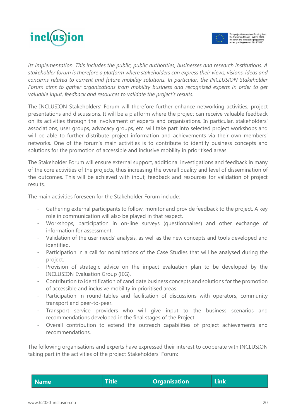



*its implementation. This includes the public, public authorities, businesses and research institutions. A stakeholder forum is therefore a platform where stakeholders can express their views, visions, ideas and concerns related to current and future mobility solutions. In particular, the INCLUSION Stakeholder Forum aims to gather organizations from mobility business and recognized experts in order to get valuable input, feedback and resources to validate the project's results.* 

The INCLUSION Stakeholders' Forum will therefore further enhance networking activities, project presentations and discussions. It will be a platform where the project can receive valuable feedback on its activities through the involvement of experts and organisations. In particular, stakeholders' associations, user groups, advocacy groups, etc. will take part into selected project workshops and will be able to further distribute project information and achievements via their own members' networks. One of the forum's main activities is to contribute to identify business concepts and solutions for the promotion of accessible and inclusive mobility in prioritised areas.

The Stakeholder Forum will ensure external support, additional investigations and feedback in many of the core activities of the projects, thus increasing the overall quality and level of dissemination of the outcomes. This will be achieved with input, feedback and resources for validation of project results.

The main activities foreseen for the Stakeholder Forum include:

- Gathering external participants to follow, monitor and provide feedback to the project. A key role in communication will also be played in that respect.
- Workshops, participation in on-line surveys (questionnaires) and other exchange of information for assessment.
- Validation of the user needs' analysis, as well as the new concepts and tools developed and identified.
- Participation in a call for nominations of the Case Studies that will be analysed during the project.
- Provision of strategic advice on the impact evaluation plan to be developed by the INCLUSION Evaluation Group (IEG).
- Contribution to identification of candidate business concepts and solutions for the promotion of accessible and inclusive mobility in prioritised areas.
- Participation in round-tables and facilitation of discussions with operators, community transport and peer-to-peer.
- Transport service providers who will give input to the business scenarios and recommendations developed in the final stages of the Project.
- Overall contribution to extend the outreach capabilities of project achievements and recommendations.

The following organisations and experts have expressed their interest to cooperate with INCLUSION taking part in the activities of the project Stakeholders' Forum:

| Name <sup>l</sup> | <b>Title</b> | <b>Organisation</b> | <b>Link</b> |
|-------------------|--------------|---------------------|-------------|
|-------------------|--------------|---------------------|-------------|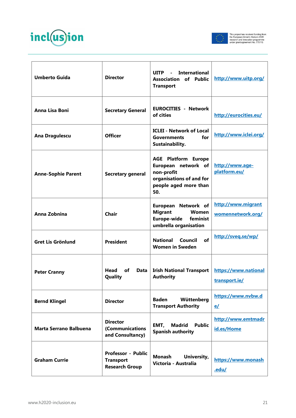



| <b>Umberto Guida</b>          | <b>Director</b>                                                        | <b>UITP</b><br><b>International</b><br>$\blacksquare$<br><b>Association</b><br>of Public<br><b>Transport</b>                | http://www.uitp.org/                    |
|-------------------------------|------------------------------------------------------------------------|-----------------------------------------------------------------------------------------------------------------------------|-----------------------------------------|
| Anna Lisa Boni                | <b>Secretary General</b>                                               | <b>EUROCITIES - Network</b><br>of cities                                                                                    | http://eurocities.eu/                   |
| Ana Dragulescu                | <b>Officer</b>                                                         | <b>ICLEI - Network of Local</b><br>for<br><b>Governments</b><br>Sustainability.                                             | http://www.iclei.org/                   |
| <b>Anne-Sophie Parent</b>     | <b>Secretary general</b>                                               | <b>AGE Platform Europe</b><br>European network of<br>non-profit<br>organisations of and for<br>people aged more than<br>50. | http://www.age-<br>platform.eu/         |
| Anna Zobnina                  | Chair                                                                  | European Network of<br><b>Migrant</b><br><b>Women</b><br>Europe-wide<br>feminist<br>umbrella organisation                   | http://www.migrant<br>womennetwork.org/ |
| <b>Gret Lis Grönlund</b>      | <b>President</b>                                                       | of<br><b>National</b><br>Council<br><b>Women in Sweden</b>                                                                  | http://sveq.se/wp/                      |
| <b>Peter Cranny</b>           | Head<br>of<br><b>Data</b><br>Quality                                   | <b>Irish National Transport</b><br><b>Authority</b>                                                                         | https://www.national<br>transport.ie/   |
| <b>Bernd Klingel</b>          | <b>Director</b>                                                        | <b>Baden</b><br>Wüttenberg<br><b>Transport Authority</b>                                                                    | https://www.nvbw.d<br>e                 |
| <b>Marta Serrano Balbuena</b> | <b>Director</b><br>(Communications<br>and Consultancy)                 | EMT,<br>Madrid<br><b>Public</b><br><b>Spanish authority</b>                                                                 | http://www.emtmadr<br>id.es/Home        |
| <b>Graham Currie</b>          | <b>Professor - Public</b><br><b>Transport</b><br><b>Research Group</b> | <b>Monash</b><br>University,<br>Victoria - Australia                                                                        | https://www.monash<br>.edu/             |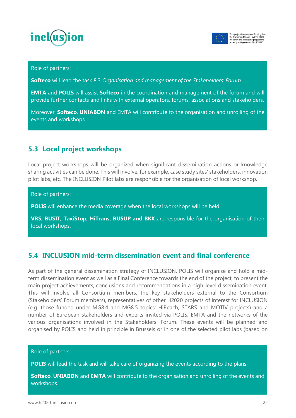



#### Role of partners:

**Softeco** will lead the task 8.3 *Organisation and management of the Stakeholders' Forum*.

**EMTA** and **POLIS** will assist **Softeco** in the coordination and management of the forum and will provide further contacts and links with external operators, forums, associations and stakeholders.

Moreover, **Softeco**, **UNIABDN** and EMTA will contribute to the organisation and unrolling of the events and workshops.

### <span id="page-21-0"></span>**5.3 Local project workshops**

Local project workshops will be organized when significant dissemination actions or knowledge sharing activities can be done. This will involve, for example, case study sites' stakeholders, innovation pilot labs, etc. The INCLUSION Pilot labs are responsible for the organisation of local workshop.

Role of partners:

**POLIS** will enhance the media coverage when the local workshops will be held.

**VRS, BUSIT, TaxiStop, HiTrans, BUSUP and BKK** are responsible for the organisation of their local workshops.

### <span id="page-21-1"></span>**5.4 INCLUSION mid-term dissemination event and final conference**

As part of the general dissemination strategy of INCLUSION, POLIS will organise and hold a midterm dissemination event as well as a Final Conference towards the end of the project, to present the main project achievements, conclusions and recommendations in a high-level dissemination event. This will involve all Consortium members, the key stakeholders external to the Consortium (Stakeholders' Forum members), representatives of other H2020 projects of interest for INCLUSION (e.g. those funded under MG8.4 and MG8.5 topics: HiReach, STARS and MOTIV projects) and a number of European stakeholders and experts invited via POLIS, EMTA and the networks of the various organisations involved in the Stakeholders' Forum. These events will be planned and organised by POLIS and held in principle in Brussels or in one of the selected pilot labs (based on

#### Role of partners:

**POLIS** will lead the task and will take care of organizing the events according to the plans.

**Softeco**, **UNIABDN** and **EMTA** will contribute to the organisation and unrolling of the events and workshops.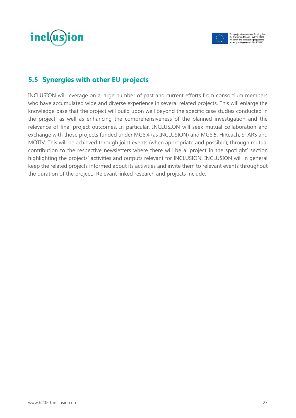



# <span id="page-22-0"></span>**5.5 Synergies with other EU projects**

INCLUSION will leverage on a large number of past and current efforts from consortium members who have accumulated wide and diverse experience in several related projects. This will enlarge the knowledge base that the project will build upon well beyond the specific case studies conducted in the project, as well as enhancing the comprehensiveness of the planned investigation and the relevance of final project outcomes. In particular, INCLUSION will seek mutual collaboration and exchange with those projects funded under MG8.4 (as INCLUSION) and MG8.5: HiReach, STARS and MOTIV. This will be achieved through joint events (when appropriate and possible); through mutual contribution to the respective newsletters where there will be a 'project in the spotlight' section highlighting the projects' activities and outputs relevant for INCLUSION. INCLUSION will in general keep the related projects informed about its activities and invite them to relevant events throughout the duration of the project. Relevant linked research and projects include: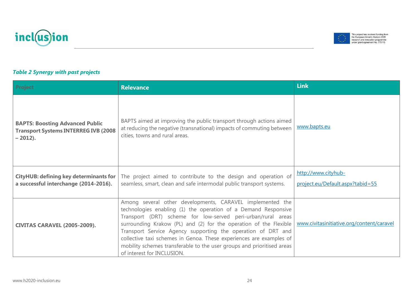**CIVITAS CARAVEL (2005-2009).**

| <b>BAPTS: Boosting Advanced Public</b><br><b>Transport Systems INTERREG IVB (2008)</b><br>$-2012$ ). | BAPTS aimed at improving the public transport through actions aimed<br>at reducing the negative (transnational) impacts of commuting between<br>cities, towns and rural areas.                                                                                                                               | www.bapts.eu                                            |
|------------------------------------------------------------------------------------------------------|--------------------------------------------------------------------------------------------------------------------------------------------------------------------------------------------------------------------------------------------------------------------------------------------------------------|---------------------------------------------------------|
| <b>CityHUB: defining key determinants for</b><br>a successful interchange (2014-2016).               | The project aimed to contribute to the design and operation of<br>seamless, smart, clean and safe intermodal public transport systems.                                                                                                                                                                       | http://www.cityhub-<br>project.eu/Default.aspx?tabid=55 |
| CIVITAS CARAVEL (2005-2009).                                                                         | Among several other developments, CARAVEL implemented the<br>technologies enabling (1) the operation of a Demand Responsive<br>Transport (DRT) scheme for low-served peri-urban/rural areas<br>surrounding Krakow (PL) and (2) for the operation of the Flexible   www.civitasinitiative.org/content/caravel |                                                         |

of interest for INCLUSION.

**Project Relevance Link**







Transport Service Agency supporting the operation of DRT and collective taxi schemes in Genoa. These experiences are examples of mobility schemes transferable to the user groups and prioritised areas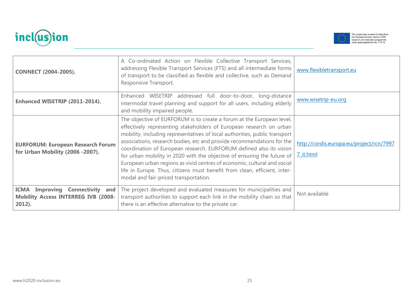



| <b>CONNECT (2004-2005).</b>                                                                       | A Co-ordinated Action on Flexible Collective Transport Services,<br>addressing Flexible Transport Services (FTS) and all intermediate forms<br>of transport to be classified as flexible and collective, such as Demand<br>Responsive Transport.                                                                                                                                                                                                                                                                                                                                                                                                         | www.flexibletransport.eu                              |
|---------------------------------------------------------------------------------------------------|----------------------------------------------------------------------------------------------------------------------------------------------------------------------------------------------------------------------------------------------------------------------------------------------------------------------------------------------------------------------------------------------------------------------------------------------------------------------------------------------------------------------------------------------------------------------------------------------------------------------------------------------------------|-------------------------------------------------------|
| Enhanced WISETRIP (2011-2014).                                                                    | addressed full door-to-door, long-distance<br>Enhanced WISETRIP<br>intermodal travel planning and support for all users, including elderly<br>and mobility impaired people.                                                                                                                                                                                                                                                                                                                                                                                                                                                                              | www.wisetrip-eu.org                                   |
| <b>EURFORUM: European Research Forum</b><br>for Urban Mobility (2006 -2007).                      | The objective of EURFORUM is to create a forum at the European level,<br>effectively representing stakeholders of European research on urban<br>mobility, including representatives of local authorities, public transport<br>associations, research bodies, etc and provide recommendations for the<br>coordination of European research. EURFORUM defined also its vision<br>for urban mobility in 2020 with the objective of ensuring the future of<br>European urban regions as vivid centres of economic, cultural and social<br>life in Europe. Thus, citizens must benefit from clean, efficient, inter-<br>modal and fair-priced transportation. | http://cordis.europa.eu/project/rcn/7997<br>7 it.html |
| <b>ICMA Improving Connectivity and</b><br><b>Mobility Access INTERREG IVB (2008-</b><br>$2012$ ). | The project developed and evaluated measures for municipalities and<br>transport authorities to support each link in the mobility chain so that<br>there is an effective alternative to the private car.                                                                                                                                                                                                                                                                                                                                                                                                                                                 | Not available                                         |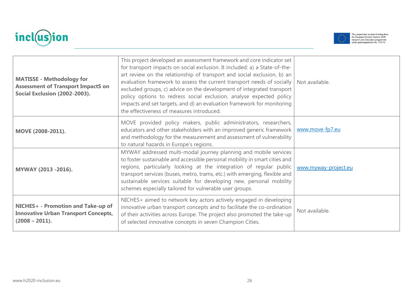



| <b>MATISSE - Methodology for</b><br><b>Assessment of Transport ImpactS on</b><br>Social Exclusion (2002-2003). | This project developed an assessment framework and core indicator set<br>for transport impacts on social exclusion. It included: a) a State-of-the-<br>art review on the relationship of transport and social exclusion, b) an<br>evaluation framework to assess the current transport needs of socially<br>excluded groups, c) advice on the development of integrated transport<br>policy options to redress social exclusion, analyse expected policy<br>impacts and set targets, and d) an evaluation framework for monitoring<br>the effectiveness of measures introduced. | Not available.       |
|----------------------------------------------------------------------------------------------------------------|---------------------------------------------------------------------------------------------------------------------------------------------------------------------------------------------------------------------------------------------------------------------------------------------------------------------------------------------------------------------------------------------------------------------------------------------------------------------------------------------------------------------------------------------------------------------------------|----------------------|
| MOVE (2008-2011).                                                                                              | MOVE provided policy makers, public administrators, researchers,<br>educators and other stakeholders with an improved generic framework<br>and methodology for the measurement and assessment of vulnerability<br>to natural hazards in Europe's regions.                                                                                                                                                                                                                                                                                                                       | www.move-fp7.eu      |
| MYWAY (2013 -2016).                                                                                            | MYWAY addressed multi-modal journey planning and mobile services<br>to foster sustainable and accessible personal mobility in smart cities and<br>regions, particularly looking at the integration of regular public<br>transport services (buses, metro, trams, etc.) with emerging, flexible and<br>sustainable services suitable for developing new, personal mobility<br>schemes especially tailored for vulnerable user groups.                                                                                                                                            | www.myway-project.eu |
| NICHES+ - Promotion and Take-up of<br><b>Innovative Urban Transport Concepts,</b><br>$(2008 - 2011).$          | NICHES+ aimed to network key actors actively engaged in developing<br>innovative urban transport concepts and to facilitate the co-ordination<br>of their activities across Europe. The project also promoted the take-up<br>of selected innovative concepts in seven Champion Cities.                                                                                                                                                                                                                                                                                          | Not available.       |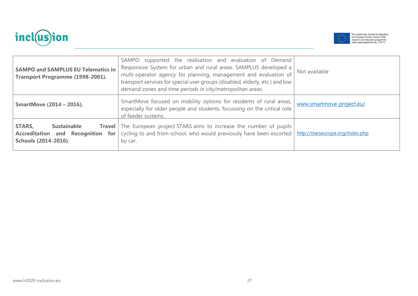



| <b>SAMPO and SAMPLUS EU Telematics in</b><br>Transport Programme (1998-2001).                              | supported the realisation and evaluation of Demand<br>SAMPO<br>Responsive System for urban and rural areas. SAMPLUS developed a<br>multi-operator agency for planning, management and evaluation of<br>transport services for special user groups (disabled, elderly, etc.) and low<br>demand zones and time periods in city/metropolitan areas. | Not available                    |
|------------------------------------------------------------------------------------------------------------|--------------------------------------------------------------------------------------------------------------------------------------------------------------------------------------------------------------------------------------------------------------------------------------------------------------------------------------------------|----------------------------------|
| <b>SmartMove (2014 - 2016).</b>                                                                            | SmartMove focused on mobility options for residents of rural areas,<br>especially for older people and students, focussing on the critical role<br>of feeder systems.                                                                                                                                                                            | www.smartmove-project.eu/        |
| <b>STARS,</b><br><b>Sustainable</b><br><b>Accreditation and Recognition</b><br>for<br>Schools (2014-2016). | <b>Travel</b> The European project STARS aims to increase the number of pupils<br>cycling to and from school, who would previously have been escorted<br>by car.                                                                                                                                                                                 | http://starseurope.org/index.php |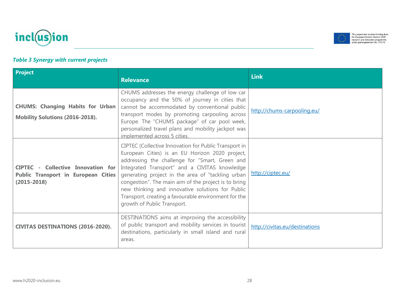



### *Table 3 Synergy with current projects*

| Project                                                                                                    | <b>Relevance</b>                                                                                                                                                                                                                                                                                                                                                                                                                                                    | <b>Link</b>                    |
|------------------------------------------------------------------------------------------------------------|---------------------------------------------------------------------------------------------------------------------------------------------------------------------------------------------------------------------------------------------------------------------------------------------------------------------------------------------------------------------------------------------------------------------------------------------------------------------|--------------------------------|
| <b>CHUMS: Changing Habits for Urban</b><br><b>Mobility Solutions (2016-2018).</b>                          | CHUMS addresses the energy challenge of low car<br>occupancy and the 50% of journey in cities that<br>cannot be accommodated by conventional public<br>transport modes by promoting carpooling across<br>Europe. The "CHUMS package" of car pool week,<br>personalized travel plans and mobility jackpot was<br>implemented across 5 cities.                                                                                                                        | http://chums-carpooling.eu/    |
| <b>CIPTEC - Collective Innovation for</b><br><b>Public Transport in European Cities</b><br>$(2015 - 2018)$ | CIPTEC (Collective Innovation for Public Transport in<br>European Cities) is an EU Horizon 2020 project,<br>addressing the challenge for "Smart, Green and<br>Integrated Transport" and a CIVITAS knowledge<br>generating project in the area of "tackling urban<br>congestion". The main aim of the project is to bring<br>new thinking and innovative solutions for Public<br>Transport, creating a favourable environment for the<br>growth of Public Transport. | http://ciptec.eu/              |
| <b>CIVITAS DESTINATIONS (2016-2020).</b>                                                                   | DESTINATIONS aims at improving the accessibility<br>of public transport and mobility services in tourist<br>destinations, particularly in small island and rural<br>areas.                                                                                                                                                                                                                                                                                          | http://civitas.eu/destinations |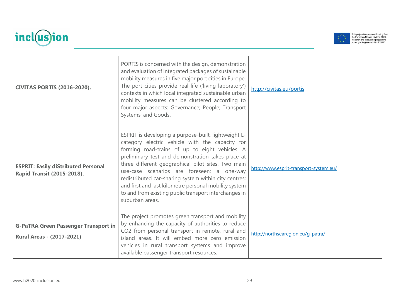



|                                                                                 | PORTIS is concerned with the design, demonstration<br>and evaluation of integrated packages of sustainable<br>mobility measures in five major port cities in Europe.<br>The port cities provide real-life ('living laboratory')                                                                                                                                                                                                                                                                                  |                                        |
|---------------------------------------------------------------------------------|------------------------------------------------------------------------------------------------------------------------------------------------------------------------------------------------------------------------------------------------------------------------------------------------------------------------------------------------------------------------------------------------------------------------------------------------------------------------------------------------------------------|----------------------------------------|
| <b>CIVITAS PORTIS (2016-2020).</b>                                              | contexts in which local integrated sustainable urban<br>mobility measures can be clustered according to<br>four major aspects: Governance; People; Transport<br>Systems; and Goods.                                                                                                                                                                                                                                                                                                                              | http://civitas.eu/portis               |
| <b>ESPRIT: Easily diStributed Personal</b><br><b>Rapid Transit (2015-2018).</b> | ESPRIT is developing a purpose-built, lightweight L-<br>category electric vehicle with the capacity for<br>forming road-trains of up to eight vehicles. A<br>preliminary test and demonstration takes place at<br>three different geographical pilot sites. Two main<br>use-case scenarios are foreseen: a one-way<br>redistributed car-sharing system within city centres;<br>and first and last kilometre personal mobility system<br>to and from existing public transport interchanges in<br>suburban areas. | http://www.esprit-transport-system.eu/ |
| <b>G-PaTRA Green Passenger Transport in</b><br><b>Rural Areas - (2017-2021)</b> | The project promotes green transport and mobility<br>by enhancing the capacity of authorities to reduce<br>CO2 from personal transport in remote, rural and<br>island areas. It will embed more zero emission<br>vehicles in rural transport systems and improve<br>available passenger transport resources.                                                                                                                                                                                                     | http://northsearegion.eu/g-patra/      |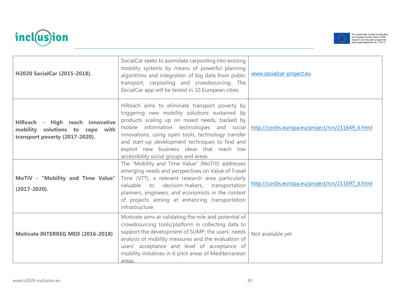



| H2020 SocialCar (2015-2018).                                                                         | SocialCar seeks to assimilate carpooling into existing<br>mobility systems by means of powerful planning<br>algorithms and integration of big data from public<br>transport, carpooling and crowdsourcing. The<br>SocialCar app will be tested in 10 European cities.                                                                                                                                                                                | www.socialcar-project.eu                           |
|------------------------------------------------------------------------------------------------------|------------------------------------------------------------------------------------------------------------------------------------------------------------------------------------------------------------------------------------------------------------------------------------------------------------------------------------------------------------------------------------------------------------------------------------------------------|----------------------------------------------------|
| HiReach - High reach innovative<br>mobility solutions to cope with<br>transport poverty (2017-2020). | HiReach aims to eliminate transport poverty by<br>triggering new mobility solutions sustained by<br>products scaling up on mixed needs, backed by<br>mobile information technologies and social   http://cordis.europa.eu/project/rcn/211649 it.html<br>innovations, using open tools, technology transfer<br>and start-up development techniques to find and<br>exploit new business ideas that reach low<br>accessibility social groups and areas. |                                                    |
| MoTiV - "Mobility and Time Value"<br>$(2017 - 2020).$                                                | The "Mobility and Time Value" (MoTiV) addresses<br>emerging needs and perspectives on Value of Travel<br>Time (VTT), a relevant research area particularly<br>valuable to decision-makers, transportation<br>planners, engineers, and economists in the context<br>of projects aiming at enhancing transportation<br>infrastructure.                                                                                                                 | http://cordis.europa.eu/project/rcn/211697_it.html |
| Motivate INTERREG MED (2016-2018)                                                                    | Motivate aims at validating the role and potential of<br>crowdsourcing tools/platform in collecting data to<br>support the development of SUMP, the users' needs<br>analysis of mobility measures and the evaluation of<br>users' acceptance and level of acceptance of<br>mobility initiatives in 6 pilot areas of Mediterranean<br>areas.                                                                                                          | Not available yet                                  |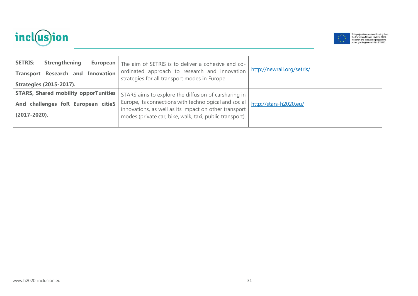



| <b>Strengthening</b><br><b>SETRIS:</b><br>European<br><b>Transport Research and Innovation</b><br><b>Strategies (2015-2017).</b> | The aim of SETRIS is to deliver a cohesive and co-<br>ordinated approach to research and innovation<br>strategies for all transport modes in Europe.                                                                               | http://newrail.org/setris/ |
|----------------------------------------------------------------------------------------------------------------------------------|------------------------------------------------------------------------------------------------------------------------------------------------------------------------------------------------------------------------------------|----------------------------|
| <b>STARS, Shared mobility opporTunities</b><br>And challenges foR European citieS<br>$(2017 - 2020)$ .                           | STARS aims to explore the diffusion of carsharing in<br>Europe, its connections with technological and social<br>innovations, as well as its impact on other transport<br>modes (private car, bike, walk, taxi, public transport). | http://stars-h2020.eu/     |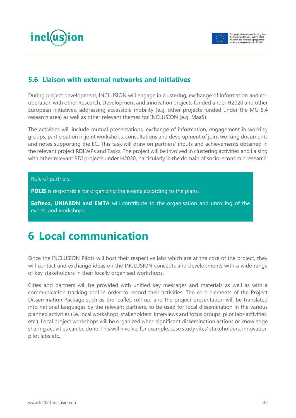



### <span id="page-31-0"></span>**5.6 Liaison with external networks and initiatives**

During project development, INCLUSION will engage in clustering, exchange of information and cooperation with other Research, Development and Innovation projects funded under H2020 and other European initiatives, addressing accessible mobility (e.g. other projects funded under the MG-8.4 research area) as well as other relevant themes for INCLUSION (e.g. MaaS).

The activities will include mutual presentations, exchange of information, engagement in working groups, participation in joint workshops, consultations and development of joint working documents and notes supporting the EC. This task will draw on partners' inputs and achievements obtained in the relevant project RDI WPs and Tasks. The project will be involved in clustering activities and liaising with other relevant RDI projects under H2020, particularly in the domain of socio-economic research.

#### Role of partners:

**POLIS** is responsible for organizing the events according to the plans.

**Softeco, UNIABDN and EMTA** will contribute to the organisation and unrolling of the events and workshops.

# <span id="page-31-1"></span>**6 Local communication**

Since the INCLUSION Pilots will host their respective labs which are at the core of the project, they will contact and exchange ideas on the INCLUSION concepts and developments with a wide range of key stakeholders in their locally organised workshops.

Cities and partners will be provided with unified key messages and materials as well as with a communication tracking tool in order to record their activities. The core elements of the Project Dissemination Package such as the leaflet, roll-up, and the project presentation will be translated into national languages by the relevant partners, to be used for local dissemination in the various planned activities (i.e. local workshops, stakeholders' interviews and focus groups, pilot labs activities, etc.). Local project workshops will be organized when significant dissemination actions or knowledge sharing activities can be done. This will involve, for example, case study sites' stakeholders, innovation pilot labs etc.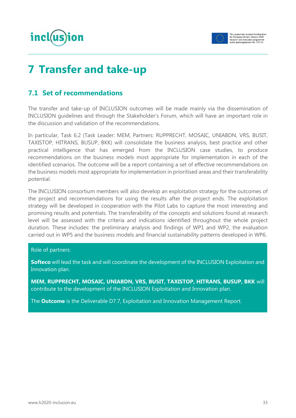



# <span id="page-32-0"></span>**7 Transfer and take-up**

# <span id="page-32-1"></span>**7.1 Set of recommendations**

The transfer and take-up of INCLUSION outcomes will be made mainly via the dissemination of INCLUSION guidelines and through the Stakeholder's Forum, which will have an important role in the discussion and validation of the recommendations.

In particular, Task 6.2 (Task Leader: MEM, Partners: RUPPRECHT, MOSAIC, UNIABDN, VRS, BUSIT, TAXISTOP, HITRANS, BUSUP, BKK) will consolidate the business analysis, best practice and other practical intelligence that has emerged from the INCLUSION case studies, to produce recommendations on the business models most appropriate for implementation in each of the identified scenarios. The outcome will be a report containing a set of effective recommendations on the business models most appropriate for implementation in prioritised areas and their transferability potential.

The INCLUSION consortium members will also develop an exploitation strategy for the outcomes of the project and recommendations for using the results after the project ends. The exploitation strategy will be developed in cooperation with the Pilot Labs to capture the most interesting and promising results and potentials. The transferability of the concepts and solutions found at research level will be assessed with the criteria and indications identified throughout the whole project duration. These includes: the preliminary analysis and findings of WP1 and WP2, the evaluation carried out in WP5 and the business models and financial sustainability patterns developed in WP6.

#### Role of partners:

**Softeco** will lead the task and will coordinate the development of the INCLUSION Exploitation and Innovation plan.

**MEM, RUPPRECHT, MOSAIC, UNIABDN, VRS, BUSIT, TAXISTOP, HITRANS, BUSUP, BKK** will contribute to the development of the INCLUSION Exploitation and Innovation plan.

The **Outcome** is the Deliverable D7.7, Exploitation and Innovation Management Report.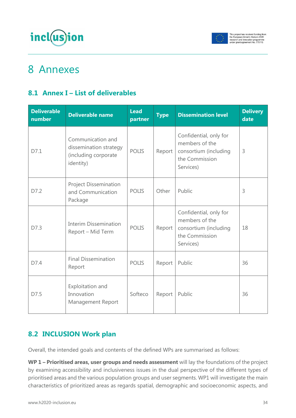



# <span id="page-33-0"></span>8 Annexes

# <span id="page-33-1"></span>**8.1 Annex I – List of deliverables**

| <b>Deliverable</b><br>number | <b>Deliverable name</b>                                                          | <b>Lead</b><br>partner | <b>Type</b> | <b>Dissemination level</b>                                                                       | <b>Delivery</b><br>date |
|------------------------------|----------------------------------------------------------------------------------|------------------------|-------------|--------------------------------------------------------------------------------------------------|-------------------------|
| D7.1                         | Communication and<br>dissemination strategy<br>(including corporate<br>identity) | <b>POLIS</b>           | Report      | Confidential, only for<br>members of the<br>consortium (including<br>the Commission<br>Services) | 3                       |
| D7.2                         | <b>Project Dissemination</b><br>and Communication<br>Package                     | <b>POLIS</b>           | Other       | Public                                                                                           | 3                       |
| D7.3                         | <b>Interim Dissemination</b><br>Report – Mid Term                                | <b>POLIS</b>           | Report      | Confidential, only for<br>members of the<br>consortium (including<br>the Commission<br>Services) | 18                      |
| D7.4                         | <b>Final Dissemination</b><br>Report                                             | <b>POLIS</b>           | Report      | Public                                                                                           | 36                      |
| D7.5                         | Exploitation and<br>Innovation<br>Management Report                              | Softeco                | Report      | Public                                                                                           | 36                      |

# <span id="page-33-2"></span>**8.2 INCLUSION Work plan**

Overall, the intended goals and contents of the defined WPs are summarised as follows:

**WP 1 – Prioritised areas, user groups and needs assessment** will lay the foundations of the project by examining accessibility and inclusiveness issues in the dual perspective of the different types of prioritised areas and the various population groups and user segments. WP1 will investigate the main characteristics of prioritized areas as regards spatial, demographic and socioeconomic aspects, and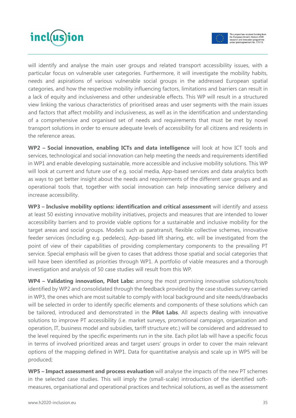



will identify and analyse the main user groups and related transport accessibility issues, with a particular focus on vulnerable user categories. Furthermore, it will investigate the mobility habits, needs and aspirations of various vulnerable social groups in the addressed European spatial categories, and how the respective mobility influencing factors, limitations and barriers can result in a lack of equity and inclusiveness and other undesirable effects. This WP will result in a structured view linking the various characteristics of prioritised areas and user segments with the main issues and factors that affect mobility and inclusiveness, as well as in the identification and understanding of a comprehensive and organised set of needs and requirements that must be met by novel transport solutions in order to ensure adequate levels of accessibility for all citizens and residents in the reference areas.

**WP2 – Social innovation, enabling ICTs and data intelligence** will look at how ICT tools and services, technological and social innovation can help meeting the needs and requirements identified in WP1 and enable developing sustainable, more accessible and inclusive mobility solutions. This WP will look at current and future use of e.g. social media, App-based services and data analytics both as ways to get better insight about the needs and requirements of the different user groups and as operational tools that, together with social innovation can help innovating service delivery and increase accessibility.

**WP3 – Inclusive mobility options: identification and critical assessment** will identify and assess at least 50 existing innovative mobility initiatives, projects and measures that are intended to lower accessibility barriers and to provide viable options for a sustainable and inclusive mobility for the target areas and social groups. Models such as paratransit, flexible collective schemes, innovative feeder services (including e.g. pedelecs), App-based lift sharing, etc. will be investigated from the point of view of their capabilities of providing complementary components to the prevailing PT service. Special emphasis will be given to cases that address those spatial and social categories that will have been identified as priorities through WP1. A portfolio of viable measures and a thorough investigation and analysis of 50 case studies will result from this WP.

**WP4 – Validating innovation, Pilot Labs:** among the most promising innovative solutions/tools identified by WP2 and consolidated through the feedback provided by the case studies survey carried in WP3, the ones which are most suitable to comply with local background and site needs/drawbacks will be selected in order to identify specific elements and components of these solutions which can be tailored, introduced and demonstrated in the **Pilot Labs**. All aspects dealing with innovative solutions to improve PT accessibility (i.e. market surveys, promotional campaign, organization and operation, IT, business model and subsidies, tariff structure etc.) will be considered and addressed to the level required by the specific experiments run in the site. Each pilot lab will have a specific focus in terms of involved prioritized areas and target users' groups in order to cover the main relevant options of the mapping defined in WP1. Data for quantitative analysis and scale up in WP5 will be produced;

**WP5 – Impact assessment and process evaluation** will analyse the impacts of the new PT schemes in the selected case studies. This will imply the (small-scale) introduction of the identified softmeasures, organisational and operational practices and technical solutions, as well as the assessment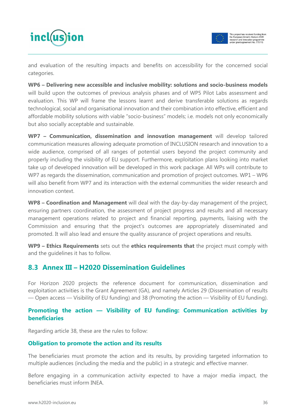incl(us)ion



and evaluation of the resulting impacts and benefits on accessibility for the concerned social categories.

**WP6 – Delivering new accessible and inclusive mobility: solutions and socio-business models**  will build upon the outcomes of previous analysis phases and of WP5 Pilot Labs assessment and evaluation. This WP will frame the lessons learnt and derive transferable solutions as regards technological, social and organisational innovation and their combination into effective, efficient and affordable mobility solutions with viable "socio-business" models; i.e. models not only economically but also socially acceptable and sustainable.

**WP7 – Communication, dissemination and innovation management** will develop tailored communication measures allowing adequate promotion of INCLUSION research and innovation to a wide audience, comprised of all ranges of potential users beyond the project community and properly including the visibility of EU support. Furthermore, exploitation plans looking into market take up of developed innovation will be developed in this work package. All WPs will contribute to WP7 as regards the dissemination, communication and promotion of project outcomes. WP1 – WP6 will also benefit from WP7 and its interaction with the external communities the wider research and innovation context.

**WP8 – Coordination and Management** will deal with the day-by-day management of the project, ensuring partners coordination, the assessment of project progress and results and all necessary management operations related to project and financial reporting, payments, liaising with the Commission and ensuring that the project's outcomes are appropriately disseminated and promoted. It will also lead and ensure the quality assurance of project operations and results.

**WP9 – Ethics Requirements** sets out the **ethics requirements that** the project must comply with and the guidelines it has to follow.

### <span id="page-35-0"></span>**8.3 Annex III – H2020 Dissemination Guidelines**

For Horizon 2020 projects the reference document for communication, dissemination and exploitation activities is the Grant Agreement (GA), and namely Articles 29 (Dissemination of results — Open access — Visibility of EU funding) and 38 (Promoting the action — Visibility of EU funding).

#### **Promoting the action — Visibility of EU funding: Communication activities by beneficiaries**

Regarding article 38, these are the rules to follow:

#### **Obligation to promote the action and its results**

The beneficiaries must promote the action and its results, by providing targeted information to multiple audiences (including the media and the public) in a strategic and effective manner.

Before engaging in a communication activity expected to have a major media impact, the beneficiaries must inform INEA.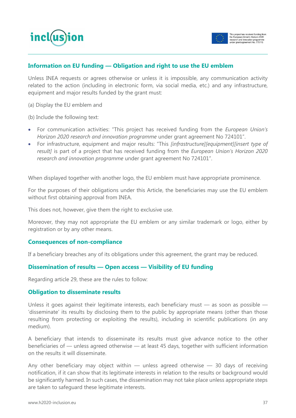



#### **Information on EU funding — Obligation and right to use the EU emblem**

Unless INEA requests or agrees otherwise or unless it is impossible, any communication activity related to the action (including in electronic form, via social media, etc.) and any infrastructure, equipment and major results funded by the grant must:

(a) Display the EU emblem and

(b) Include the following text:

- For communication activities: "This project has received funding from the *European Union's Horizon 2020 research and innovation programme* under grant agreement No 724101".
- For infrastructure, equipment and major results: "This *[infrastructure][equipment][insert type of result]* is part of a project that has received funding from the *European Union's Horizon 2020 research and innovation programme* under grant agreement No 724101".

When displayed together with another logo, the EU emblem must have appropriate prominence.

For the purposes of their obligations under this Article, the beneficiaries may use the EU emblem without first obtaining approval from INEA.

This does not, however, give them the right to exclusive use.

Moreover, they may not appropriate the EU emblem or any similar trademark or logo, either by registration or by any other means.

#### **Consequences of non-compliance**

If a beneficiary breaches any of its obligations under this agreement, the grant may be reduced.

#### **Dissemination of results — Open access — Visibility of EU funding**

Regarding article 29, these are the rules to follow:

#### **Obligation to disseminate results**

Unless it goes against their legitimate interests, each beneficiary must — as soon as possible — 'disseminate' its results by disclosing them to the public by appropriate means (other than those resulting from protecting or exploiting the results), including in scientific publications (in any medium).

A beneficiary that intends to disseminate its results must give advance notice to the other beneficiaries of — unless agreed otherwise — at least 45 days, together with sufficient information on the results it will disseminate.

Any other beneficiary may object within  $-$  unless agreed otherwise  $-$  30 days of receiving notification, if it can show that its legitimate interests in relation to the results or background would be significantly harmed. In such cases, the dissemination may not take place unless appropriate steps are taken to safeguard these legitimate interests.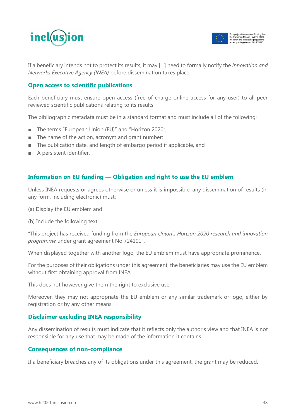



If a beneficiary intends not to protect its results, it may […] need to formally notify the *Innovation and Networks Executive Agency (INEA)* before dissemination takes place.

#### **Open access to scientific publications**

Each beneficiary must ensure open access (free of charge online access for any user) to all peer reviewed scientific publications relating to its results.

The bibliographic metadata must be in a standard format and must include all of the following:

- The terms "European Union (EU)" and "Horizon 2020";
- The name of the action, acronym and grant number;
- The publication date, and length of embargo period if applicable, and
- A persistent identifier.

#### **Information on EU funding — Obligation and right to use the EU emblem**

Unless INEA requests or agrees otherwise or unless it is impossible, any dissemination of results (in any form, including electronic) must:

(a) Display the EU emblem and

(b) Include the following text:

"This project has received funding from the *European Union's Horizon 2020 research and innovation programme* under grant agreement No 724101".

When displayed together with another logo, the EU emblem must have appropriate prominence.

For the purposes of their obligations under this agreement, the beneficiaries may use the EU emblem without first obtaining approval from INEA.

This does not however give them the right to exclusive use.

Moreover, they may not appropriate the EU emblem or any similar trademark or logo, either by registration or by any other means.

#### **Disclaimer excluding INEA responsibility**

Any dissemination of results must indicate that it reflects only the author's view and that INEA is not responsible for any use that may be made of the information it contains.

#### **Consequences of non-compliance**

If a beneficiary breaches any of its obligations under this agreement, the grant may be reduced.